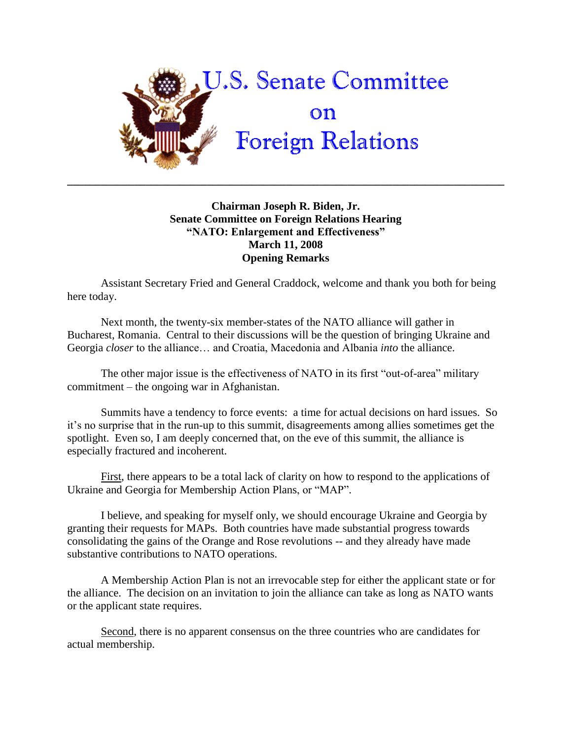

## **Chairman Joseph R. Biden, Jr. Senate Committee on Foreign Relations Hearing "NATO: Enlargement and Effectiveness" March 11, 2008 Opening Remarks**

**\_\_\_\_\_\_\_\_\_\_\_\_\_\_\_\_\_\_\_\_\_\_\_\_\_\_\_\_\_\_\_\_\_\_\_\_\_\_\_\_\_\_\_\_\_\_\_\_\_\_\_\_\_\_\_\_\_\_\_\_\_\_\_\_\_\_\_\_\_\_\_\_\_\_\_\_\_\_**

Assistant Secretary Fried and General Craddock, welcome and thank you both for being here today.

Next month, the twenty-six member-states of the NATO alliance will gather in Bucharest, Romania. Central to their discussions will be the question of bringing Ukraine and Georgia *closer* to the alliance… and Croatia, Macedonia and Albania *into* the alliance.

The other major issue is the effectiveness of NATO in its first "out-of-area" military commitment – the ongoing war in Afghanistan.

Summits have a tendency to force events: a time for actual decisions on hard issues. So it"s no surprise that in the run-up to this summit, disagreements among allies sometimes get the spotlight. Even so, I am deeply concerned that, on the eve of this summit, the alliance is especially fractured and incoherent.

First, there appears to be a total lack of clarity on how to respond to the applications of Ukraine and Georgia for Membership Action Plans, or "MAP".

I believe, and speaking for myself only, we should encourage Ukraine and Georgia by granting their requests for MAPs. Both countries have made substantial progress towards consolidating the gains of the Orange and Rose revolutions -- and they already have made substantive contributions to NATO operations.

A Membership Action Plan is not an irrevocable step for either the applicant state or for the alliance. The decision on an invitation to join the alliance can take as long as NATO wants or the applicant state requires.

Second, there is no apparent consensus on the three countries who are candidates for actual membership.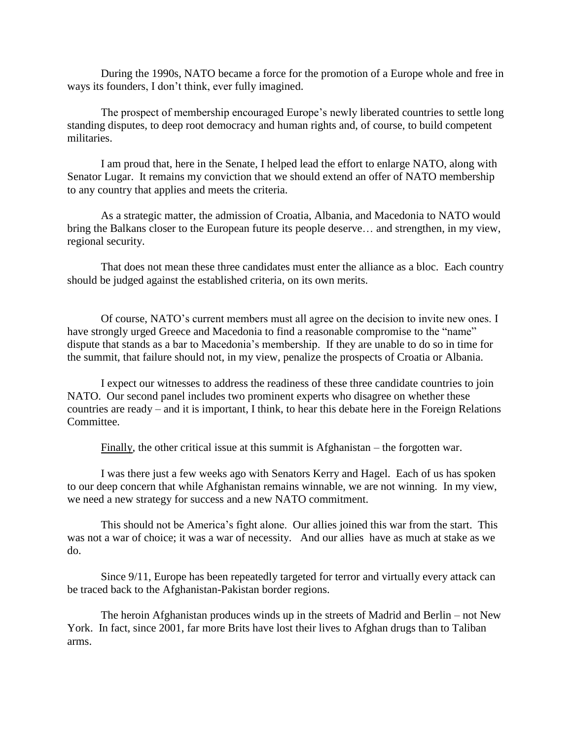During the 1990s, NATO became a force for the promotion of a Europe whole and free in ways its founders, I don"t think, ever fully imagined.

The prospect of membership encouraged Europe"s newly liberated countries to settle long standing disputes, to deep root democracy and human rights and, of course, to build competent militaries.

I am proud that, here in the Senate, I helped lead the effort to enlarge NATO, along with Senator Lugar. It remains my conviction that we should extend an offer of NATO membership to any country that applies and meets the criteria.

As a strategic matter, the admission of Croatia, Albania, and Macedonia to NATO would bring the Balkans closer to the European future its people deserve… and strengthen, in my view, regional security.

That does not mean these three candidates must enter the alliance as a bloc. Each country should be judged against the established criteria, on its own merits.

Of course, NATO"s current members must all agree on the decision to invite new ones. I have strongly urged Greece and Macedonia to find a reasonable compromise to the "name" dispute that stands as a bar to Macedonia"s membership. If they are unable to do so in time for the summit, that failure should not, in my view, penalize the prospects of Croatia or Albania.

I expect our witnesses to address the readiness of these three candidate countries to join NATO. Our second panel includes two prominent experts who disagree on whether these countries are ready – and it is important, I think, to hear this debate here in the Foreign Relations Committee.

Finally, the other critical issue at this summit is Afghanistan – the forgotten war.

I was there just a few weeks ago with Senators Kerry and Hagel. Each of us has spoken to our deep concern that while Afghanistan remains winnable, we are not winning. In my view, we need a new strategy for success and a new NATO commitment.

This should not be America"s fight alone. Our allies joined this war from the start. This was not a war of choice; it was a war of necessity. And our allies have as much at stake as we do.

Since 9/11, Europe has been repeatedly targeted for terror and virtually every attack can be traced back to the Afghanistan-Pakistan border regions.

The heroin Afghanistan produces winds up in the streets of Madrid and Berlin – not New York. In fact, since 2001, far more Brits have lost their lives to Afghan drugs than to Taliban arms.